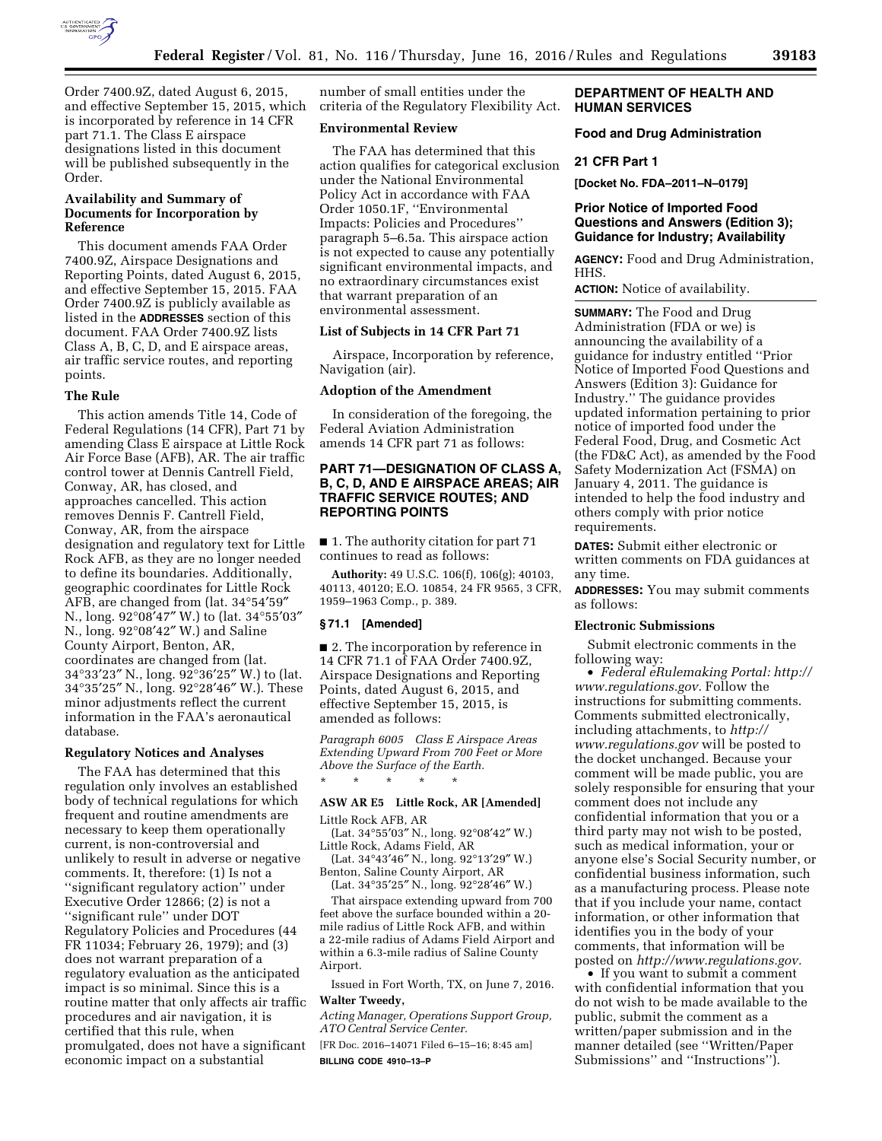

Order 7400.9Z, dated August 6, 2015, and effective September 15, 2015, which is incorporated by reference in 14 CFR part 71.1. The Class E airspace designations listed in this document will be published subsequently in the Order.

# **Availability and Summary of Documents for Incorporation by Reference**

This document amends FAA Order 7400.9Z, Airspace Designations and Reporting Points, dated August 6, 2015, and effective September 15, 2015. FAA Order 7400.9Z is publicly available as listed in the **ADDRESSES** section of this document. FAA Order 7400.9Z lists Class A, B, C, D, and E airspace areas, air traffic service routes, and reporting points.

#### **The Rule**

This action amends Title 14, Code of Federal Regulations (14 CFR), Part 71 by amending Class E airspace at Little Rock Air Force Base (AFB), AR. The air traffic control tower at Dennis Cantrell Field, Conway, AR, has closed, and approaches cancelled. This action removes Dennis F. Cantrell Field, Conway, AR, from the airspace designation and regulatory text for Little Rock AFB, as they are no longer needed to define its boundaries. Additionally, geographic coordinates for Little Rock AFB, are changed from (lat. 34°54′59″ N., long. 92°08′47″ W.) to (lat. 34°55′03″ N., long. 92°08′42″ W.) and Saline County Airport, Benton, AR, coordinates are changed from (lat. 34°33′23″ N., long. 92°36′25″ W.) to (lat. 34°35′25″ N., long. 92°28′46″ W.). These minor adjustments reflect the current information in the FAA's aeronautical database.

#### **Regulatory Notices and Analyses**

The FAA has determined that this regulation only involves an established body of technical regulations for which frequent and routine amendments are necessary to keep them operationally current, is non-controversial and unlikely to result in adverse or negative comments. It, therefore: (1) Is not a ''significant regulatory action'' under Executive Order 12866; (2) is not a ''significant rule'' under DOT Regulatory Policies and Procedures (44 FR 11034; February 26, 1979); and (3) does not warrant preparation of a regulatory evaluation as the anticipated impact is so minimal. Since this is a routine matter that only affects air traffic procedures and air navigation, it is certified that this rule, when promulgated, does not have a significant economic impact on a substantial

number of small entities under the criteria of the Regulatory Flexibility Act.

## **Environmental Review**

The FAA has determined that this action qualifies for categorical exclusion under the National Environmental Policy Act in accordance with FAA Order 1050.1F, ''Environmental Impacts: Policies and Procedures'' paragraph 5–6.5a. This airspace action is not expected to cause any potentially significant environmental impacts, and no extraordinary circumstances exist that warrant preparation of an environmental assessment.

### **List of Subjects in 14 CFR Part 71**

Airspace, Incorporation by reference, Navigation (air).

### **Adoption of the Amendment**

In consideration of the foregoing, the Federal Aviation Administration amends 14 CFR part 71 as follows:

# **PART 71—DESIGNATION OF CLASS A, B, C, D, AND E AIRSPACE AREAS; AIR TRAFFIC SERVICE ROUTES; AND REPORTING POINTS**

■ 1. The authority citation for part 71 continues to read as follows:

**Authority:** 49 U.S.C. 106(f), 106(g); 40103, 40113, 40120; E.O. 10854, 24 FR 9565, 3 CFR, 1959–1963 Comp., p. 389.

# **§ 71.1 [Amended]**

■ 2. The incorporation by reference in 14 CFR 71.1 of FAA Order 7400.9Z, Airspace Designations and Reporting Points, dated August 6, 2015, and effective September 15, 2015, is amended as follows:

*Paragraph 6005 Class E Airspace Areas Extending Upward From 700 Feet or More Above the Surface of the Earth.* 

## **ASW AR E5 Little Rock, AR [Amended]**

Little Rock AFB, AR

\* \* \* \* \*

(Lat. 34°55′03″ N., long. 92°08′42″ W.) Little Rock, Adams Field, AR

(Lat. 34°43′46″ N., long. 92°13′29″ W.) Benton, Saline County Airport, AR

(Lat. 34°35′25″ N., long. 92°28′46″ W.) That airspace extending upward from 700 feet above the surface bounded within a 20 mile radius of Little Rock AFB, and within a 22-mile radius of Adams Field Airport and within a 6.3-mile radius of Saline County Airport.

Issued in Fort Worth, TX, on June 7, 2016. **Walter Tweedy,** 

*Acting Manager, Operations Support Group, ATO Central Service Center.* 

[FR Doc. 2016–14071 Filed 6–15–16; 8:45 am] **BILLING CODE 4910–13–P** 

## **DEPARTMENT OF HEALTH AND HUMAN SERVICES**

## **Food and Drug Administration**

#### **21 CFR Part 1**

**[Docket No. FDA–2011–N–0179]** 

## **Prior Notice of Imported Food Questions and Answers (Edition 3); Guidance for Industry; Availability**

**AGENCY:** Food and Drug Administration, HHS.

**ACTION:** Notice of availability.

**SUMMARY:** The Food and Drug Administration (FDA or we) is announcing the availability of a guidance for industry entitled ''Prior Notice of Imported Food Questions and Answers (Edition 3): Guidance for Industry.'' The guidance provides updated information pertaining to prior notice of imported food under the Federal Food, Drug, and Cosmetic Act (the FD&C Act), as amended by the Food Safety Modernization Act (FSMA) on January 4, 2011. The guidance is intended to help the food industry and others comply with prior notice requirements.

**DATES:** Submit either electronic or written comments on FDA guidances at any time.

**ADDRESSES:** You may submit comments as follows:

#### **Electronic Submissions**

Submit electronic comments in the following way:

• *Federal eRulemaking Portal: [http://](http://www.regulations.gov)  [www.regulations.gov.](http://www.regulations.gov)* Follow the instructions for submitting comments. Comments submitted electronically, including attachments, to *[http://](http://www.regulations.gov) [www.regulations.gov](http://www.regulations.gov)* will be posted to the docket unchanged. Because your comment will be made public, you are solely responsible for ensuring that your comment does not include any confidential information that you or a third party may not wish to be posted, such as medical information, your or anyone else's Social Security number, or confidential business information, such as a manufacturing process. Please note that if you include your name, contact information, or other information that identifies you in the body of your comments, that information will be posted on *[http://www.regulations.gov.](http://www.regulations.gov)* 

• If you want to submit a comment with confidential information that you do not wish to be made available to the public, submit the comment as a written/paper submission and in the manner detailed (see ''Written/Paper Submissions'' and ''Instructions'').